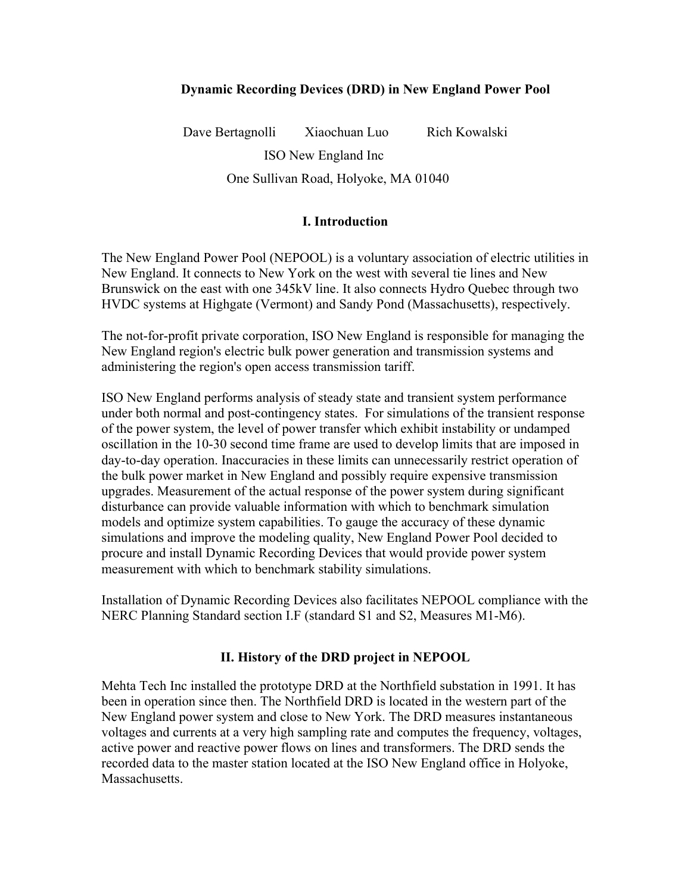## **Dynamic Recording Devices (DRD) in New England Power Pool**

Dave Bertagnolli Xiaochuan Luo Rich Kowalski ISO New England Inc

One Sullivan Road, Holyoke, MA 01040

## **I. Introduction**

The New England Power Pool (NEPOOL) is a voluntary association of electric utilities in New England. It connects to New York on the west with several tie lines and New Brunswick on the east with one 345kV line. It also connects Hydro Quebec through two HVDC systems at Highgate (Vermont) and Sandy Pond (Massachusetts), respectively.

The not-for-profit private corporation, ISO New England is responsible for managing the New England region's electric bulk power generation and transmission systems and administering the region's open access transmission tariff.

ISO New England performs analysis of steady state and transient system performance under both normal and post-contingency states. For simulations of the transient response of the power system, the level of power transfer which exhibit instability or undamped oscillation in the 10-30 second time frame are used to develop limits that are imposed in day-to-day operation. Inaccuracies in these limits can unnecessarily restrict operation of the bulk power market in New England and possibly require expensive transmission upgrades. Measurement of the actual response of the power system during significant disturbance can provide valuable information with which to benchmark simulation models and optimize system capabilities. To gauge the accuracy of these dynamic simulations and improve the modeling quality, New England Power Pool decided to procure and install Dynamic Recording Devices that would provide power system measurement with which to benchmark stability simulations.

Installation of Dynamic Recording Devices also facilitates NEPOOL compliance with the NERC Planning Standard section I.F (standard S1 and S2, Measures M1-M6).

## **II. History of the DRD project in NEPOOL**

Mehta Tech Inc installed the prototype DRD at the Northfield substation in 1991. It has been in operation since then. The Northfield DRD is located in the western part of the New England power system and close to New York. The DRD measures instantaneous voltages and currents at a very high sampling rate and computes the frequency, voltages, active power and reactive power flows on lines and transformers. The DRD sends the recorded data to the master station located at the ISO New England office in Holyoke, **Massachusetts**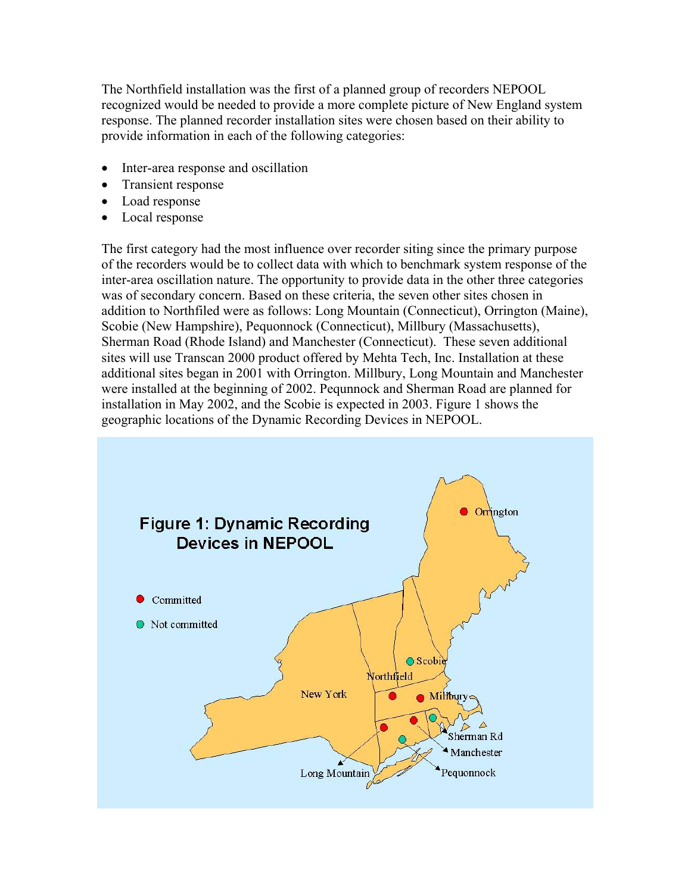The Northfield installation was the first of a planned group of recorders NEPOOL recognized would be needed to provide a more complete picture of New England system response. The planned recorder installation sites were chosen based on their ability to provide information in each of the following categories:

- Inter-area response and oscillation
- Transient response
- Load response
- Local response

The first category had the most influence over recorder siting since the primary purpose of the recorders would be to collect data with which to benchmark system response of the inter-area oscillation nature. The opportunity to provide data in the other three categories was of secondary concern. Based on these criteria, the seven other sites chosen in addition to Northfiled were as follows: Long Mountain (Connecticut), Orrington (Maine), Scobie (New Hampshire), Pequonnock (Connecticut), Millbury (Massachusetts), Sherman Road (Rhode Island) and Manchester (Connecticut). These seven additional sites will use Transcan 2000 product offered by Mehta Tech, Inc. Installation at these additional sites began in 2001 with Orrington. Millbury, Long Mountain and Manchester were installed at the beginning of 2002. Pequnnock and Sherman Road are planned for installation in May 2002, and the Scobie is expected in 2003. Figure 1 shows the geographic locations of the Dynamic Recording Devices in NEPOOL.

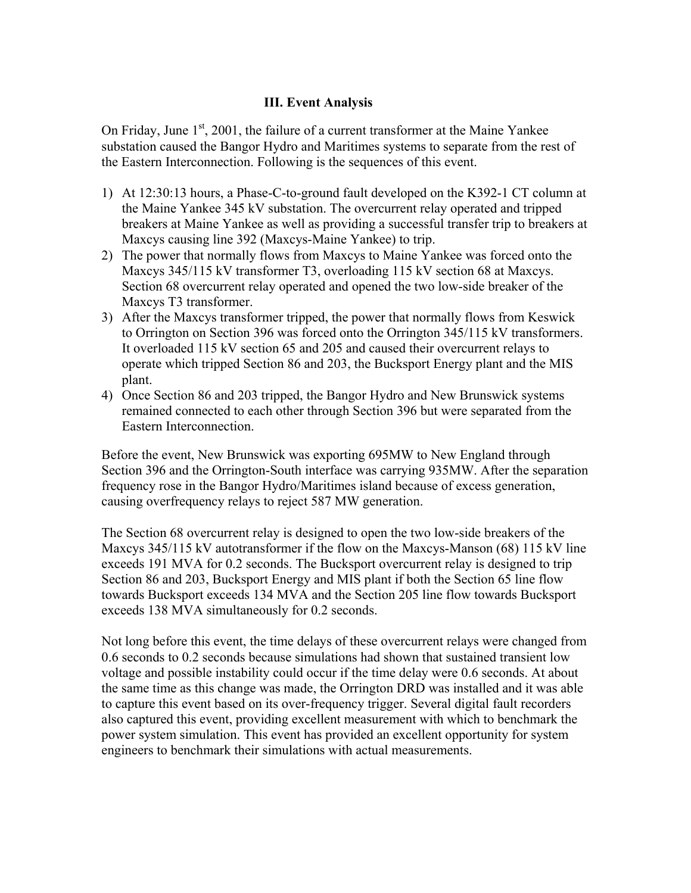## **III. Event Analysis**

On Friday, June  $1<sup>st</sup>$ , 2001, the failure of a current transformer at the Maine Yankee substation caused the Bangor Hydro and Maritimes systems to separate from the rest of the Eastern Interconnection. Following is the sequences of this event.

- 1) At 12:30:13 hours, a Phase-C-to-ground fault developed on the K392-1 CT column at the Maine Yankee 345 kV substation. The overcurrent relay operated and tripped breakers at Maine Yankee as well as providing a successful transfer trip to breakers at Maxcys causing line 392 (Maxcys-Maine Yankee) to trip.
- 2) The power that normally flows from Maxcys to Maine Yankee was forced onto the Maxcys 345/115 kV transformer T3, overloading 115 kV section 68 at Maxcys. Section 68 overcurrent relay operated and opened the two low-side breaker of the Maxcys T3 transformer.
- 3) After the Maxcys transformer tripped, the power that normally flows from Keswick to Orrington on Section 396 was forced onto the Orrington 345/115 kV transformers. It overloaded 115 kV section 65 and 205 and caused their overcurrent relays to operate which tripped Section 86 and 203, the Bucksport Energy plant and the MIS plant.
- 4) Once Section 86 and 203 tripped, the Bangor Hydro and New Brunswick systems remained connected to each other through Section 396 but were separated from the Eastern Interconnection.

Before the event, New Brunswick was exporting 695MW to New England through Section 396 and the Orrington-South interface was carrying 935MW. After the separation frequency rose in the Bangor Hydro/Maritimes island because of excess generation, causing overfrequency relays to reject 587 MW generation.

The Section 68 overcurrent relay is designed to open the two low-side breakers of the Maxcys 345/115 kV autotransformer if the flow on the Maxcys-Manson (68) 115 kV line exceeds 191 MVA for 0.2 seconds. The Bucksport overcurrent relay is designed to trip Section 86 and 203, Bucksport Energy and MIS plant if both the Section 65 line flow towards Bucksport exceeds 134 MVA and the Section 205 line flow towards Bucksport exceeds 138 MVA simultaneously for 0.2 seconds.

Not long before this event, the time delays of these overcurrent relays were changed from 0.6 seconds to 0.2 seconds because simulations had shown that sustained transient low voltage and possible instability could occur if the time delay were 0.6 seconds. At about the same time as this change was made, the Orrington DRD was installed and it was able to capture this event based on its over-frequency trigger. Several digital fault recorders also captured this event, providing excellent measurement with which to benchmark the power system simulation. This event has provided an excellent opportunity for system engineers to benchmark their simulations with actual measurements.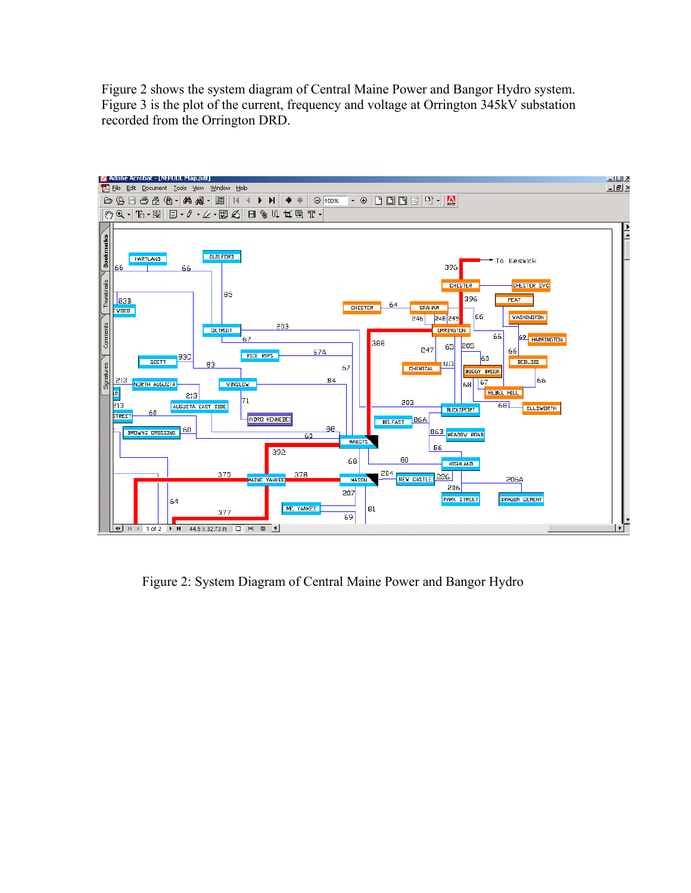Figure 2 shows the system diagram of Central Maine Power and Bangor Hydro system. Figure 3 is the plot of the current, frequency and voltage at Orrington 345kV substation recorded from the Orrington DRD.



Figure 2: System Diagram of Central Maine Power and Bangor Hydro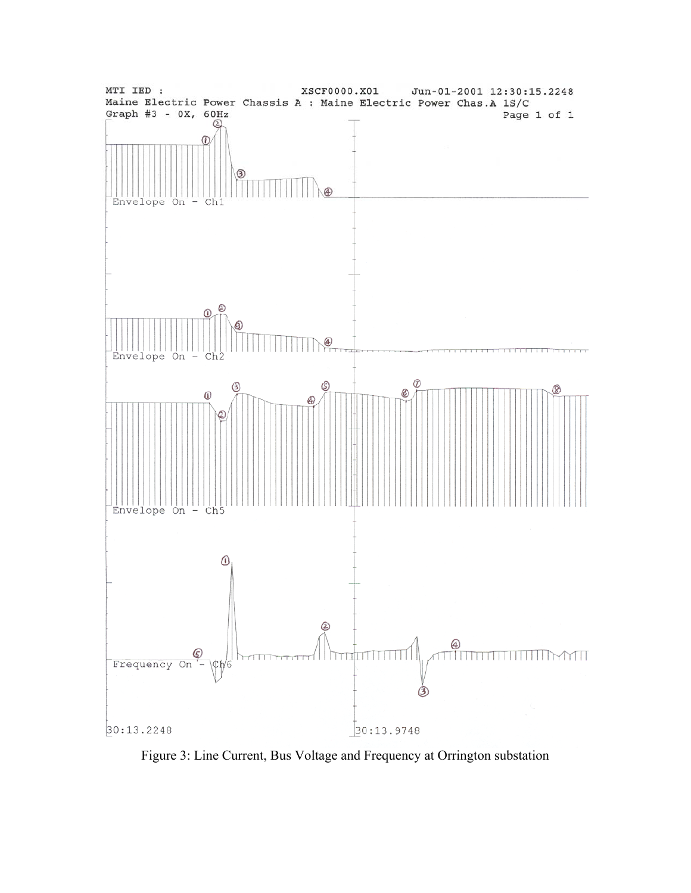

Figure 3: Line Current, Bus Voltage and Frequency at Orrington substation